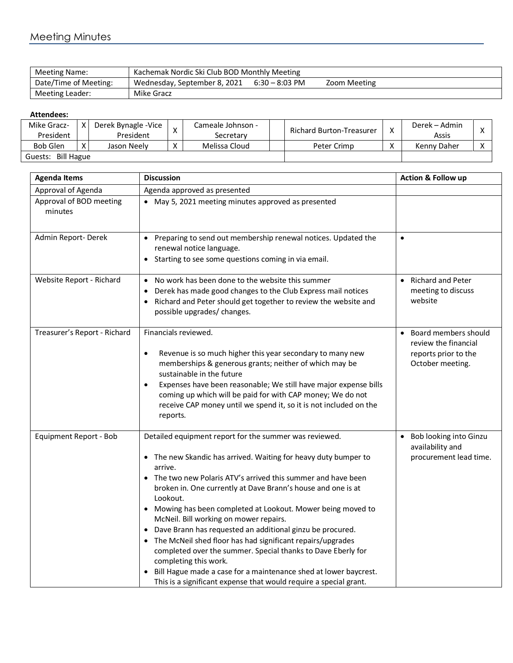## Meeting Minutes

| <b>Meeting Name:</b>  | Kachemak Nordic Ski Club BOD Monthly Meeting |                  |              |  |  |  |
|-----------------------|----------------------------------------------|------------------|--------------|--|--|--|
| Date/Time of Meeting: | Wednesday, September 8, 2021                 | $6:30 - 8:03$ PM | Zoom Meeting |  |  |  |
| Meeting Leader:       | Mike Gracz                                   |                  |              |  |  |  |

## **Attendees:**

| Mike Gracz-<br>President                   |  | Derek Bynagle - Vice<br>President |                   | Cameale Johnson -<br>Secretarv | <b>Richard Burton-Treasurer</b> | $\checkmark$ | Derek – Admin<br>Assis |  |
|--------------------------------------------|--|-----------------------------------|-------------------|--------------------------------|---------------------------------|--------------|------------------------|--|
| <b>Bob Glen</b>                            |  | Jason Neelv                       | $\checkmark$<br>∧ | Melissa Cloud                  | Peter Crimp                     |              | Kenny Daher            |  |
| $\sqrt{ }$<br><b>Bill Hague</b><br>Guests: |  |                                   |                   |                                |                                 |              |                        |  |

| <b>Agenda Items</b>                | <b>Discussion</b>                                                                                                                                                                                                                                                                                                                                                                                                                                                                                                                                                                                                                                                                                                                                  | Action & Follow up                                                                       |  |  |
|------------------------------------|----------------------------------------------------------------------------------------------------------------------------------------------------------------------------------------------------------------------------------------------------------------------------------------------------------------------------------------------------------------------------------------------------------------------------------------------------------------------------------------------------------------------------------------------------------------------------------------------------------------------------------------------------------------------------------------------------------------------------------------------------|------------------------------------------------------------------------------------------|--|--|
| Approval of Agenda                 | Agenda approved as presented                                                                                                                                                                                                                                                                                                                                                                                                                                                                                                                                                                                                                                                                                                                       |                                                                                          |  |  |
| Approval of BOD meeting<br>minutes | • May 5, 2021 meeting minutes approved as presented                                                                                                                                                                                                                                                                                                                                                                                                                                                                                                                                                                                                                                                                                                |                                                                                          |  |  |
| Admin Report-Derek                 | Preparing to send out membership renewal notices. Updated the<br>renewal notice language.<br>Starting to see some questions coming in via email.                                                                                                                                                                                                                                                                                                                                                                                                                                                                                                                                                                                                   | $\bullet$                                                                                |  |  |
| Website Report - Richard           | No work has been done to the website this summer<br>$\bullet$<br>Derek has made good changes to the Club Express mail notices<br>Richard and Peter should get together to review the website and<br>٠<br>possible upgrades/ changes.                                                                                                                                                                                                                                                                                                                                                                                                                                                                                                               | <b>Richard and Peter</b><br>meeting to discuss<br>website                                |  |  |
| Treasurer's Report - Richard       | Financials reviewed.<br>Revenue is so much higher this year secondary to many new<br>$\bullet$<br>memberships & generous grants; neither of which may be<br>sustainable in the future<br>Expenses have been reasonable; We still have major expense bills<br>$\bullet$<br>coming up which will be paid for with CAP money; We do not<br>receive CAP money until we spend it, so it is not included on the<br>reports.                                                                                                                                                                                                                                                                                                                              | Board members should<br>review the financial<br>reports prior to the<br>October meeting. |  |  |
| Equipment Report - Bob             | Detailed equipment report for the summer was reviewed.<br>The new Skandic has arrived. Waiting for heavy duty bumper to<br>arrive.<br>The two new Polaris ATV's arrived this summer and have been<br>broken in. One currently at Dave Brann's house and one is at<br>Lookout.<br>Mowing has been completed at Lookout. Mower being moved to<br>McNeil. Bill working on mower repairs.<br>Dave Brann has requested an additional ginzu be procured.<br>The McNeil shed floor has had significant repairs/upgrades<br>completed over the summer. Special thanks to Dave Eberly for<br>completing this work.<br>Bill Hague made a case for a maintenance shed at lower baycrest.<br>This is a significant expense that would require a special grant. | Bob looking into Ginzu<br>availability and<br>procurement lead time.                     |  |  |